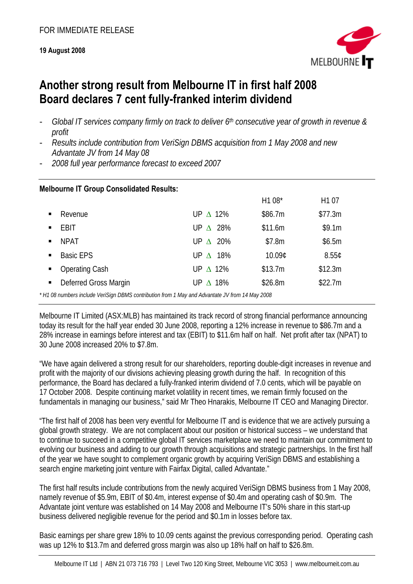### **19 August 2008**



# **Another strong result from Melbourne IT in first half 2008 Board declares 7 cent fully-franked interim dividend**

- *Global IT services company firmly on track to deliver 6th consecutive year of growth in revenue & profit*
- *Results include contribution from VeriSign DBMS acquisition from 1 May 2008 and new Advantate JV from 14 May 08*
- *2008 full year performance forecast to exceed 2007*

| <b>Melbourne IT Group Consolidated Results:</b>                                                                         |                    |         |                   |
|-------------------------------------------------------------------------------------------------------------------------|--------------------|---------|-------------------|
|                                                                                                                         |                    | H1 08*  | H <sub>1</sub> 07 |
| Revenue<br>$\blacksquare$                                                                                               | UP $\triangle$ 12% | \$86.7m | \$77.3m           |
| <b>EBIT</b><br>$\blacksquare$                                                                                           | UP $\triangle$ 28% | \$11.6m | \$9.1m            |
| <b>NPAT</b><br>$\blacksquare$                                                                                           | UP $\triangle$ 20% | \$7.8m  | \$6.5m            |
| <b>Basic EPS</b><br>$\blacksquare$                                                                                      | UP $\triangle$ 18% | 10.09¢  | 8.55C             |
| <b>Operating Cash</b><br>$\blacksquare$                                                                                 | UP $\triangle$ 12% | \$13.7m | \$12.3m           |
| Deferred Gross Margin<br>$\blacksquare$                                                                                 | UP $\triangle$ 18% | \$26.8m | \$22.7m           |
| $*111.00$ such car brokeds $11.50$ and $0.5$ and $0.4$ and $0.4$ and $11.5$ and $11.5$ and $11.5$ and $11.5$ and $0.00$ |                    |         |                   |

*\* H1 08 numbers include VeriSign DBMS contribution from 1 May and Advantate JV from 14 May 2008* 

Melbourne IT Limited (ASX:MLB) has maintained its track record of strong financial performance announcing today its result for the half year ended 30 June 2008, reporting a 12% increase in revenue to \$86.7m and a 28% increase in earnings before interest and tax (EBIT) to \$11.6m half on half. Net profit after tax (NPAT) to 30 June 2008 increased 20% to \$7.8m.

"We have again delivered a strong result for our shareholders, reporting double-digit increases in revenue and profit with the majority of our divisions achieving pleasing growth during the half. In recognition of this performance, the Board has declared a fully-franked interim dividend of 7.0 cents, which will be payable on 17 October 2008. Despite continuing market volatility in recent times, we remain firmly focused on the fundamentals in managing our business," said Mr Theo Hnarakis, Melbourne IT CEO and Managing Director.

"The first half of 2008 has been very eventful for Melbourne IT and is evidence that we are actively pursuing a global growth strategy. We are not complacent about our position or historical success – we understand that to continue to succeed in a competitive global IT services marketplace we need to maintain our commitment to evolving our business and adding to our growth through acquisitions and strategic partnerships. In the first half of the year we have sought to complement organic growth by acquiring VeriSign DBMS and establishing a search engine marketing joint venture with Fairfax Digital, called Advantate."

The first half results include contributions from the newly acquired VeriSign DBMS business from 1 May 2008, namely revenue of \$5.9m, EBIT of \$0.4m, interest expense of \$0.4m and operating cash of \$0.9m. The Advantate joint venture was established on 14 May 2008 and Melbourne IT's 50% share in this start-up business delivered negligible revenue for the period and \$0.1m in losses before tax.

Basic earnings per share grew 18% to 10.09 cents against the previous corresponding period. Operating cash was up 12% to \$13.7m and deferred gross margin was also up 18% half on half to \$26.8m.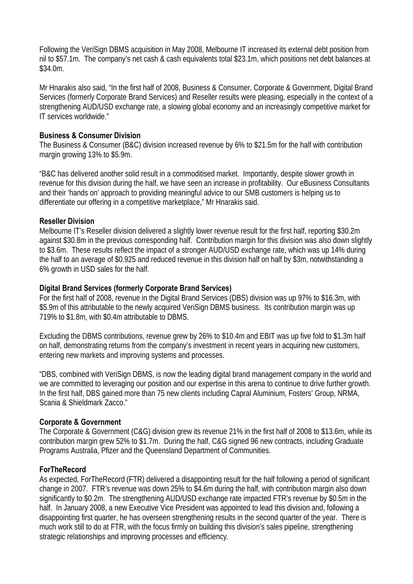Following the VeriSign DBMS acquisition in May 2008, Melbourne IT increased its external debt position from nil to \$57.1m. The company's net cash & cash equivalents total \$23.1m, which positions net debt balances at \$34.0m.

Mr Hnarakis also said, "In the first half of 2008, Business & Consumer, Corporate & Government, Digital Brand Services (formerly Corporate Brand Services) and Reseller results were pleasing, especially in the context of a strengthening AUD/USD exchange rate, a slowing global economy and an increasingly competitive market for IT services worldwide."

#### **Business & Consumer Division**

The Business & Consumer (B&C) division increased revenue by 6% to \$21.5m for the half with contribution margin growing 13% to \$5.9m.

"B&C has delivered another solid result in a commoditised market. Importantly, despite slower growth in revenue for this division during the half, we have seen an increase in profitability. Our eBusiness Consultants and their 'hands on' approach to providing meaningful advice to our SMB customers is helping us to differentiate our offering in a competitive marketplace," Mr Hnarakis said.

#### **Reseller Division**

Melbourne IT's Reseller division delivered a slightly lower revenue result for the first half, reporting \$30.2m against \$30.8m in the previous corresponding half. Contribution margin for this division was also down slightly to \$3.6m. These results reflect the impact of a stronger AUD/USD exchange rate, which was up 14% during the half to an average of \$0.925 and reduced revenue in this division half on half by \$3m, notwithstanding a 6% growth in USD sales for the half.

#### **Digital Brand Services (formerly Corporate Brand Services)**

For the first half of 2008, revenue in the Digital Brand Services (DBS) division was up 97% to \$16.3m, with \$5.9m of this attributable to the newly acquired VeriSign DBMS business. Its contribution margin was up 719% to \$1.8m, with \$0.4m attributable to DBMS.

Excluding the DBMS contributions, revenue grew by 26% to \$10.4m and EBIT was up five fold to \$1.3m half on half, demonstrating returns from the company's investment in recent years in acquiring new customers, entering new markets and improving systems and processes.

"DBS, combined with VeriSign DBMS, is now the leading digital brand management company in the world and we are committed to leveraging our position and our expertise in this arena to continue to drive further growth. In the first half, DBS gained more than 75 new clients including Capral Aluminium, Fosters' Group, NRMA, Scania & Shieldmark Zacco."

## **Corporate & Government**

The Corporate & Government (C&G) division grew its revenue 21% in the first half of 2008 to \$13.6m, while its contribution margin grew 52% to \$1.7m. During the half, C&G signed 96 new contracts, including Graduate Programs Australia, Pfizer and the Queensland Department of Communities.

## **ForTheRecord**

As expected, ForTheRecord (FTR) delivered a disappointing result for the half following a period of significant change in 2007. FTR's revenue was down 25% to \$4.6m during the half, with contribution margin also down significantly to \$0.2m. The strengthening AUD/USD exchange rate impacted FTR's revenue by \$0.5m in the half. In January 2008, a new Executive Vice President was appointed to lead this division and, following a disappointing first quarter, he has overseen strengthening results in the second quarter of the year. There is much work still to do at FTR, with the focus firmly on building this division's sales pipeline, strengthening strategic relationships and improving processes and efficiency.